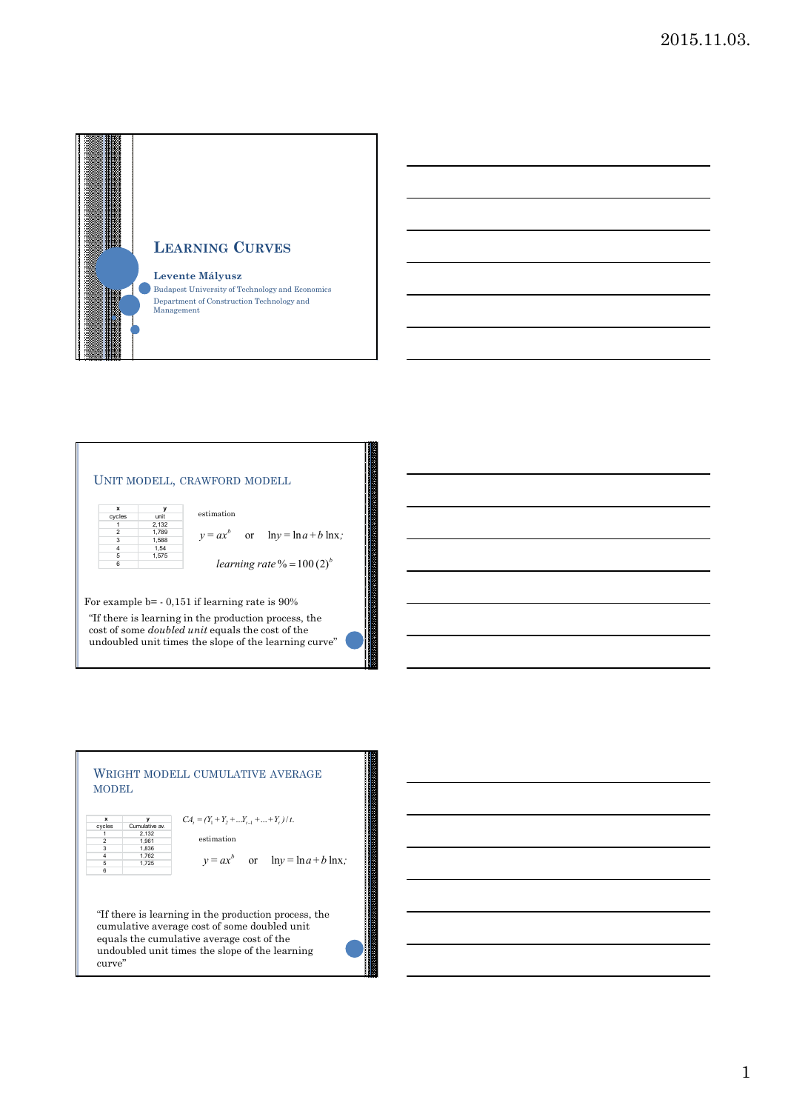

## UNIT MODELL, CRAWFORD MODELL



 $y = ax^b$  or  $ln y = ln a + b ln x;$ estimation

*learning rate* % =  $100(2)^b$ 

For example b= - 0,151 if learning rate is 90%

"If there is learning in the production process, the cost of some *doubled unit* equals the cost of the undoubled unit times the slope of the learning curve"

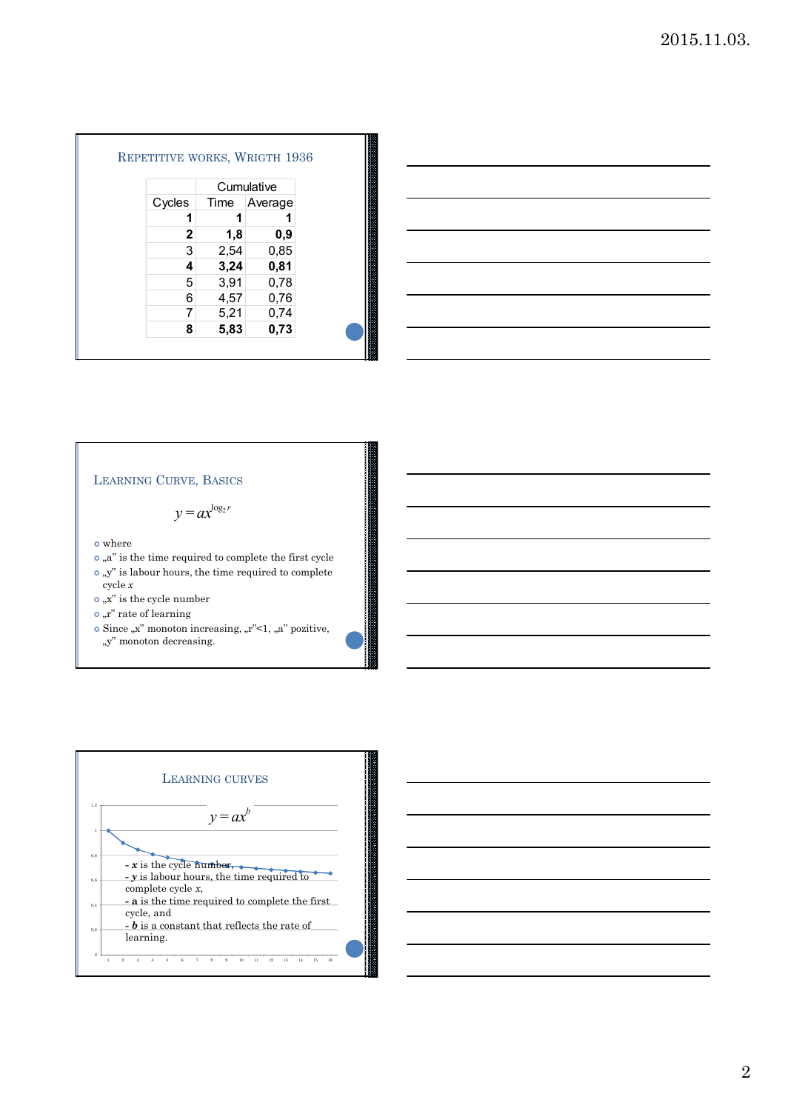|        |      | Cumulative |
|--------|------|------------|
| Cycles | Time | Average    |
| 1      | 1    |            |
| 2      | 1,8  | 0,9        |
| 3      | 2,54 | 0,85       |
| 4      | 3,24 | 0,81       |
| 5      | 3,91 | 0,78       |
| 6      | 4,57 | 0,76       |
| 7      | 5,21 | 0,74       |
| 8      | 5,83 | 0,73       |



## LEARNING CURVE, BASICS

 $y = ax^{\log_2 r}$ 

where

- $\circ$  "a" is the time required to complete the first cycle
- $\circ$  "y" is labour hours, the time required to complete cycle *x*
- $\bullet$  "x" is the cycle number
- $\circ$  "r" rate of learning
- $\circ$  Since  $\alpha$ <sup>"</sup> monoton increasing,  $\alpha$ <sup>"</sup> <1,  $\alpha$ <sup>"</sup> pozitive,  $\,$  ,y" monoton decreasing.



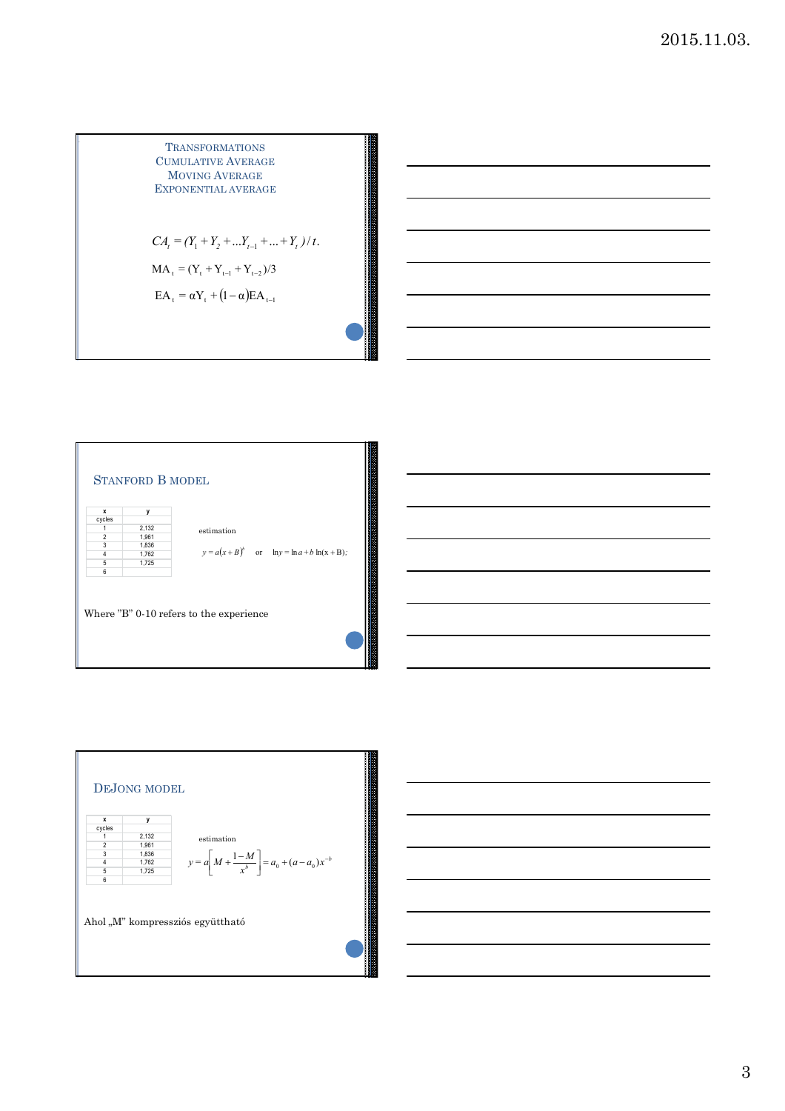TransfornATIONS

\nCUMULATIVE AVERAGE

\nMOVING AVERAGE

\nEXPONENTIAL AVERAGE

\n
$$
CA_t = (Y_1 + Y_2 + ... Y_{t-1} + ... + Y_t) / t.
$$

\nMA\_t = 
$$
(Y_t + Y_{t-1} + Y_{t-2}) / 3
$$

\nEA\_t = 
$$
\alpha Y_t + (1 - \alpha)EA_{t-1}
$$





3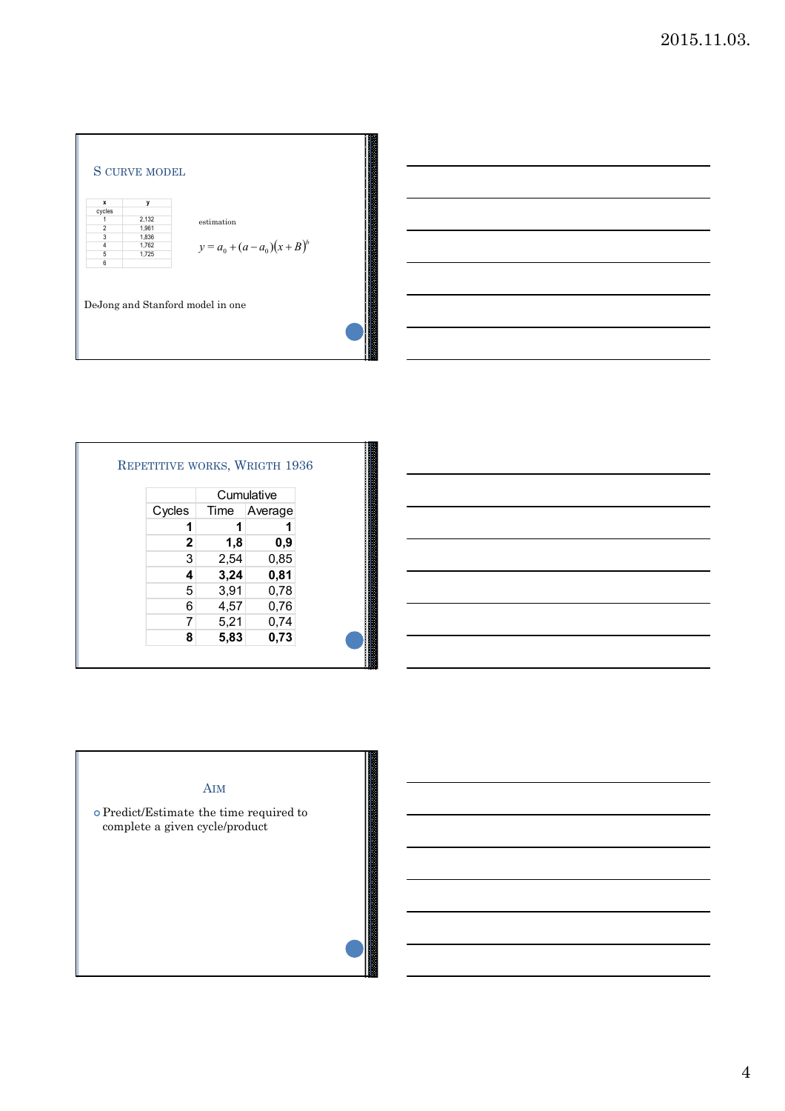



|             |      | Cumulative |
|-------------|------|------------|
| Cycles      | Time | Average    |
| 1           | 1    |            |
| $\mathbf 2$ | 1,8  | 0,9        |
| 3           | 2,54 | 0,85       |
| 4           | 3,24 | 0,81       |
| 5           | 3,91 | 0,78       |
| 6           | 4,57 | 0,76       |
| 7           | 5,21 | 0,74       |
| 8           | 5,83 | 0,73       |



4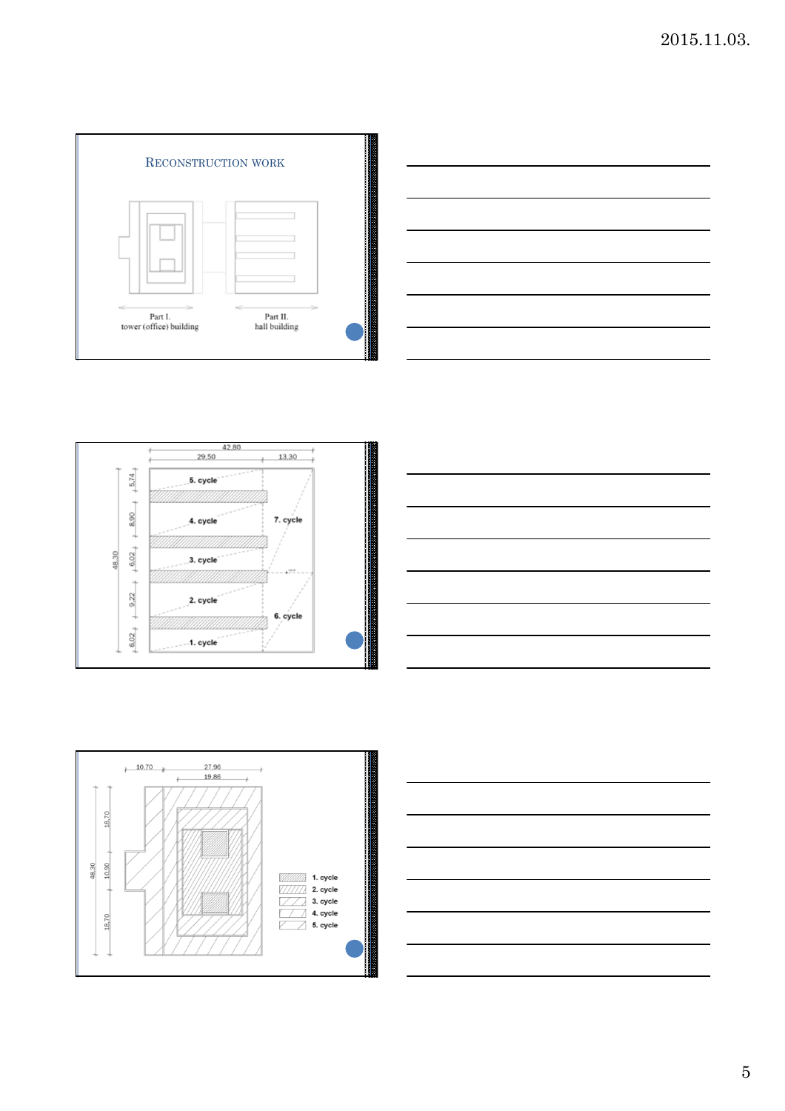









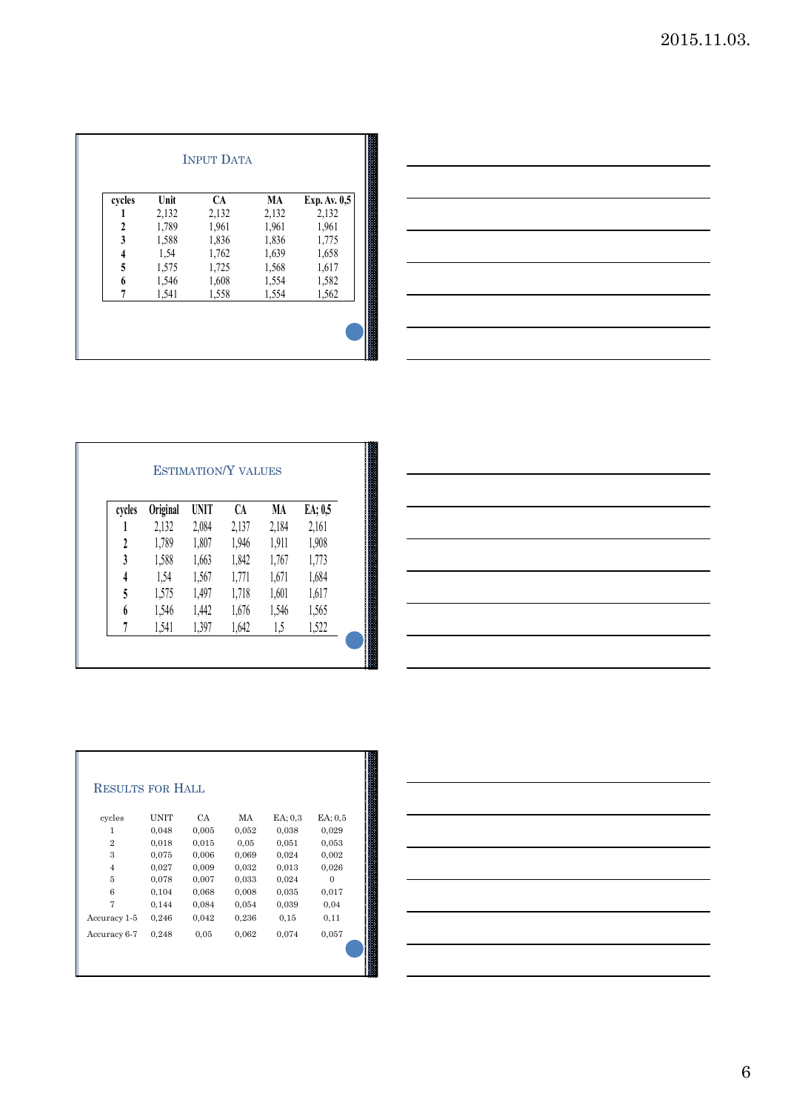| cycles                    | Unit  | <b>CA</b> | MA    | Exp. Av. 0,5 |
|---------------------------|-------|-----------|-------|--------------|
|                           | 2,132 | 2,132     | 2,132 | 2,132        |
| $\boldsymbol{\mathsf{2}}$ | 1,789 | 1,961     | 1,961 | 1,961        |
| 3                         | 1,588 | 1,836     | 1,836 | 1,775        |
| 4                         | 1,54  | 1,762     | 1,639 | 1,658        |
| 5                         | 1,575 | 1,725     | 1,568 | 1,617        |
| 6                         | 1,546 | 1,608     | 1,554 | 1,582        |
|                           | 1,541 | 1,558     | 1,554 | 1,562        |



| cycles | Original | <b>UNIT</b> | CA    | MA    | EA; 0,5 |
|--------|----------|-------------|-------|-------|---------|
|        | 2,132    | 2,084       | 2,137 | 2,184 | 2,161   |
| 2      | 1,789    | 1,807       | 1,946 | 1,911 | 1,908   |
| 3      | 1,588    | 1,663       | 1,842 | 1,767 | 1,773   |
| 4      | 1,54     | 1,567       | 1,771 | 1,671 | 1,684   |
| 5      | 1,575    | 1,497       | 1,718 | 1,601 | 1,617   |
| 6      | 1,546    | 1,442       | 1,676 | 1,546 | 1,565   |
|        | 1,541    | 1,397       | 1,642 | 1,5   | 1,522   |

| ,我们也不会有一个人的事情。""我们的人们,我们也不会有一个人的人,我们也不会有一个人的人,我们也不会有一个人的人,我们也不会有一个人的人,我们也不会有一个人的<br>第一百一十一章 我们的人,我们的人们的人们,我们的人们的人们的人们,我们的人们的人们的人们,我们的人们的人们,我们的人们的人们,我们的人们的人们,我们的人们的人 |  |  |
|----------------------------------------------------------------------------------------------------------------------------------------------------------------------|--|--|
|                                                                                                                                                                      |  |  |
| <u> 1989 - Andrea Andrew Maria (h. 1989).</u>                                                                                                                        |  |  |
|                                                                                                                                                                      |  |  |
|                                                                                                                                                                      |  |  |
|                                                                                                                                                                      |  |  |
|                                                                                                                                                                      |  |  |
|                                                                                                                                                                      |  |  |
|                                                                                                                                                                      |  |  |
|                                                                                                                                                                      |  |  |
|                                                                                                                                                                      |  |  |

| cycles         | <b>UNIT</b> | CA    | MA    | $EA$ ; 0.3 | $EA$ ; 0.5 |
|----------------|-------------|-------|-------|------------|------------|
|                |             |       |       |            |            |
| 1              | 0,048       | 0,005 | 0,052 | 0,038      | 0,029      |
| $\overline{2}$ | 0,018       | 0,015 | 0.05  | 0,051      | 0,053      |
| 3              | 0,075       | 0,006 | 0,069 | 0,024      | 0,002      |
| $\overline{4}$ | 0,027       | 0,009 | 0,032 | 0,013      | 0,026      |
| 5              | 0,078       | 0,007 | 0,033 | 0,024      | $\Omega$   |
| 6              | 0,104       | 0,068 | 0,008 | 0,035      | 0,017      |
| 7              | 0,144       | 0,084 | 0,054 | 0,039      | 0,04       |
| Accuracy 1-5   | 0,246       | 0,042 | 0,236 | 0.15       | 0,11       |
| Accuracy 6-7   | 0,248       | 0,05  | 0,062 | 0,074      | 0,057      |

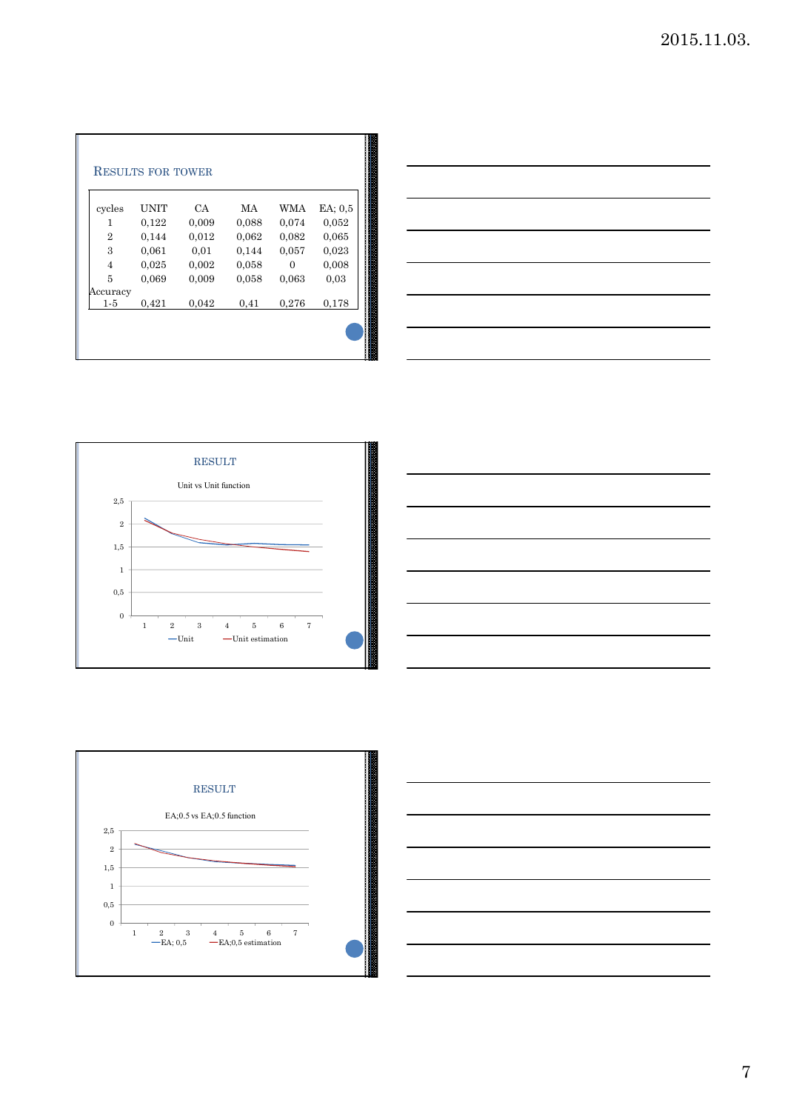| $EA$ : $0.5$<br><b>WMA</b><br>MA<br>0,052<br>0,074<br>0,088 | CA.   |                      | cycles         |
|-------------------------------------------------------------|-------|----------------------|----------------|
|                                                             | 0,009 | <b>UNIT</b><br>0,122 | 1              |
| 0,065<br>0,062<br>0,082                                     | 0,012 | 0.144                | $\overline{2}$ |
| 0,057<br>0,023<br>0,144                                     | 0,01  | 0.061                | 3              |
| 0,008<br>0,058<br>$\Omega$                                  | 0,002 | 0,025                | $\overline{4}$ |
| 0,058<br>0.03<br>0,063                                      | 0,009 | 0,069                | 5              |
|                                                             |       |                      |                |
|                                                             |       |                      | Accuracy       |